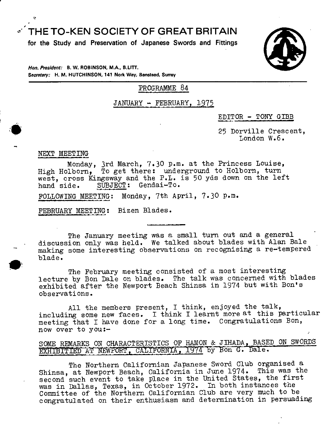THE TO-KEN SOCIETY OF GREAT BRITAIN

**for the Study and Preservation of Japanese Swords and Fittings** 



**Hon. P,osident: B. W. ROBINSON, MA, 8.LITr.**  Secretary: H. M. HUTCHINSON, 141 Nork Way, Banstead, Surrey

PROGRAMME 84

JANUARY - FEBRUARY, 1975

EDITOR - TONY GIBB

25 Dorville Crescent, London W.6.

## NEXT MEETING

Monday, 3rd March, 7.30 p.m. at the Princess Louise, High Holborn, To get there: underground to Holborn, turn west, cross Kingsway and the P.L. is 50 yds down on the left hand side. SUBJECT: Gendai-To.

FOLLOWING MEETING: Monday, 7th April, 7.30 p.m.

FEBRUARY MEETING: Bizen Blades.

The January meeting was a small turn out and a general discussion only was held. We talked about blades with Alan Bale making some interesting observations on recognising a re-tempered • blade.

The February meeting consisted of a most interesting lecture by Bon Dale on blades. The talk was concerned with blades exhibited after the Newport Beach Shinsa in 1974 but with Bon's observations.

All the members present, I think, enjoyed the talk, including some new faces. I think I learnt more at this particular meeting that I have done for a long time. Congratulations Bon, now over to you:-

# SOME REMARKS ON CHARACTERISTICS OF HAMON & JIHADA, BASED ON SWORDS EXHIBITIED AT NEWPORT, CALIFORNIA, 1974 by Bon G. Dale.

The Northern Californian Japanese Sword Club organised a Shinsa, at Newport Beach, California in June 1974. This was the second such event to take place in the United States, the first was in Dallas, Texas, in October 1972. In both instances the Committee of the Northern Californian Club are very much to be congratulated on their enthusiasm and determination in persuading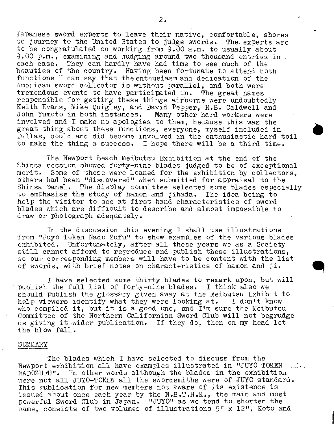Japanese sword experts to leave their native, comfortable, shores to journey to the United States to judge swords. The experts are to be congratulated on working from 9.00 a.m, to usually about 9.00 p.m., examining and judging around two thousand entries in each case. They can hardly have had time to see much of the beauties of the country. Having been fortunate to attend both functions I can say that the enthusiasm and dedication of the American sword collector is without parallel, and both were tremendous events to have participated in. The great names responsible for getting these things airborne were undoubtedly Keith Evans, Mike Quigley, and David Pepper, R.B. Caldwell and John Yumoto in both instances. Many other hard workers were invclved and I make no apologies to them, because this was the great thing about these functions, everyone, myself included in Dallas, could and did become involved in the enthusiastic hard toil to make the thing a success. I hope there will be a third time.

The Newport Beach Meibutsu Exhibition at the end of the Shinsa session showed forty-nine blades judged to be of exceptional merit. Some of these were loaned for the exhibition by collectors, others had been "discovered" when submitted for appraisal to the Shinsa panel. The display committee selected some blades especially to emphasise the study of hamon and jihada. The idea being to help the visitor to see at first hand characteristics of sword blades which are difficult to describe and almost impossible to draw or photograph adequately.

In the discussion this evening I shall use illustrations from "Juyo Token Nado Zufu" to show examples of the various blades exhibited. Unfortunately, after all these years we as a Society still cannot afford to reproduce and publish these illustrations, so our corresponding members will have to be content with the list of swords, with brief notes on characteristics of hamon and ji.

I have selected some thirty blades to remark upon, but will publish the full list of forty-nine blades. I think also we should publish the glossary given away at the Meibutsu Exhibit to help viewers identify what they were looking at. I don't know who compiled it, but it is a good one, and  $I'm$  sure the Meibutsu Committee of the Northern Californian Sword Club will not begrudge us giving it wider publication. If they do, then on my head let the blow fall.

#### SUMMARY

The blades which I have selected to discuss from the Newport exhibition all have examples illustrated in "JUYO TOKEN NADOZUFU". In other words although the blades in the exhibition vrere not all JUYO-TOKEN all the swordsmiths were of JUYO standard. This publication for new members not aware of its existence is issued about once each year by the  $N.B.T.F.K.$ , the main and most powerful Sword Club in Japan. "JUYO" as we tend to shorten the name, consists of two volumes of illustrations 9" x 12", Koto and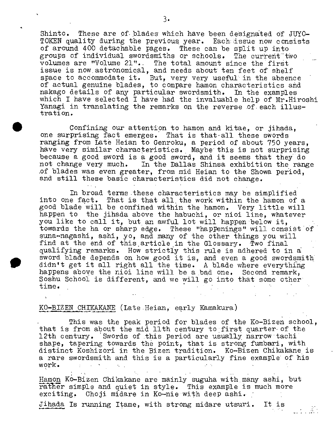Shinto. These are of blades which have been designated of JUYO-TOKEN quality during the previous year. Each issue now consists of around 400 detachable pages. These can be split up into groups of individual swordsmiths or schools. The current two volumes are "Volume 21".. The total amount since the first issue is now.astronomical, and needs about ten feet of shelf space to accommodate it. But, very very useful in the absence of actual genuine blades, to compare hamon characteristics and nakago details of any particular swordsmith. In the examples which I have selected I have had the invaluable help of Mr.Hiroshi Yanagi in translating the remarks on the reverse of each illustrati on.

Confining our attention to hamon and kitae, or jihada, one surprising fact emerges. That is that-all these swords ranging from Late Heian to Genroku, a period of about 750 years, have very similar characteristics. Maybe this is not surprising because a good sword is a good sword, and it seems that they do not change very much. In the Dallas Shinsa exhibition the range of blades was even greater, from mid Heian to the Showa period, and still these basic characteristics did not change.

In broad terms these characteristics may be simplified into One fact. That is that all, the work within the hamon of a good blade will be confined within the hamon. Very little will happen to the jihada above the habuchi, or nioi line, whatever you like to call it, but an awful lot will happen below it, towards the ha or sharp edge. These "happenings" will consist of suna-nagashi, ashi, yo, and many of the other things you will find at the end of this article in the Glossary. Two final qualifying remarks. How strictly this rule is adhered to in a sword blade depends on how good it is, and even a good swordsmith didn't get it all right all the time. A blade where everything happens above the nioi line will be a bad one. Second remark, Soshu School is different, and we will go into that some other  $\tt time.$ 

## KO-BIZEN CHIKAKANE (Late Heian, early Kamakura)

This was the peak period for blades of the Ko-Bizen school, that is from about the mid  $11$ th century to first quarter of the 12th century. 'Swords of this period are usually narrowtachi shape, tapering towards the point, that is strong fumbari, with distinct Koshizori in the Bizen tradition. Ko-Bizen Chikakane is a rare swordsmith and this is a particularly fine example of his work.  $\sim 10^{-10}$   $\sim$ 

-99

Hamon Ko-Bizen Chikakane are mainly suguha with many ashi, but rather simple and quiet in style. This example is much more exciting. Choji midare in Ko-nie with deep ashi.

jihada Is running Itame, with strong midare utsuri. It is -

3.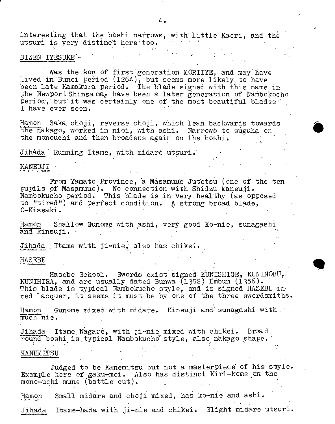interesting that the boshi narrows, with little Kaeri, and the utsuri is very distinct here too.

BIZEN IYESUKE

Was the §on of, first generation MORIIYE, and may have lived in Bunei period (1264), but seems more likely to have been late Kamakura period. The blade signed with this name in the Newport Shinsamay have been a later generation of Nambokocho period, but it was certainly one of the most beautiful blades I have ever seen.

Hamon Saka choji, reverse choji, which lean backwards towards the nakago, worked in nioi, with ashi. Narrows to suguha on the monouchi and then broadens again on the boshi.

Jihàda Running Itame, with midare utsuri.

## KANEIJJ I

From Yamato Province, a Masamuue Jutetsu (one of the ten pupils of Nasamuue). No connection with Shidzu Kaneuji. Nambokucho period. This blade is in very healthy (as opposed to "tired") and perfect condition. A strong broad blade, 0-Kissaki. .

Hamon Shallow Gunome with ashi, very good Ko-nie, sunagashi and kinsuji.

Jihada , Itame with ji-ñie, also has chikei.

## HASEBE

Hasebe School. Swords exist signed KUNISHIGE, KUNINOBU, KUNIHIRA, and are usually dated Bunwa  $(1352)$  Embun  $(1356)$ . This blade is typical Nambokucho style, and is signed HASEBE in red lacquer, it seems it must be by one of the three swordsmiths.

Hamon Gunome mixed with midare. Kinsuji and sunagashiwith much nie.

Jihada Itame Nagare, with ji-nie mixed with chikei. Broad round boshi is typical Nambokucho style, also nakago shape.

# KANEMITSU

Judged to be Kanemitsu but not a masterpiece of his style. Example here of gaku-mei. Also has distinct Kiri-kome on the mono-uchi mune (battle cut).

Hamon Small midare and choji mixed, has ko-nie and ashi.

Jihada Itame-hada with ji-nie and chikei. Slight midare utsuri.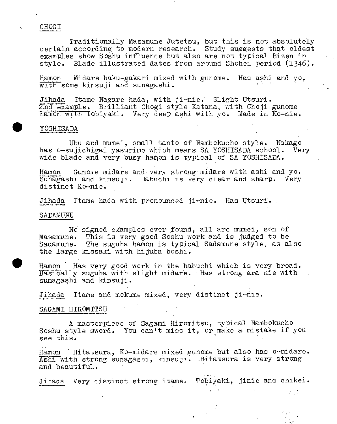## CHOGI

Traditionally Masamune Jutetsu, but this is not absolutely certain according to modern research. Study suggests that oldest examples show Soshu influence but also are not typical Bizen in style. Blade illustrated dates from around Shohei period (1346).

Hamon Midare haku-gakari mixed with gunome. Has ashi and yo, with some kinsuji and sunagashi.

Jihada flame Nagare hada, with ji-nie. Slight Utsuri. 2nd example. Brilliant Chogi style Katana, with Choji gunome hamon with tobiyaki. Very deep ashi with yo. Made in Ko-nie.

## YOSHISADA

Ubu and mumei, small tanto of Nambokucho style. Nakago has o-sujichigai yasurime which means SA YOSHISADA school. Very wide blade and very busy hamon is typical of SA YOSHISADA.

Hamon Gunome midare and very strong midare with ashi and yo. Sunagashi and kinsuji. Habuchi is very clear and sharp. Very distinct Ko-nie.

Jihada Itame hada with pronounced ji-nie. Has Utsuri...

## SADAMUNE

No signed examples ever found, all are mumei, son of Masamune. This is very good Soshu work and is judged to be Sadamune. The suguha hamon is typical Sadamune style, as also the large kissaki with hijuba boshi.

Hamon Has very good work in the habuchi which is very broad. Basically suguha with slight midare. Has strong ara nie with sunagashi and kinsuji.

Jihada Itame and mokume mixed, very distinct ji-nie.

#### SAGAMI HIROMITSU

A masterpiece of Sagami Hiromitsu, typical Nambokucho Soshu style sword. You can't miss it, or make a mistake if you see this.

Hamon 'Hitatsura, Ko-midare mixed gunome but also has o-midare. Ashi with strong sunagashi, kinsuji. Hitatsura is very strong and beautiful.

Jihada Very distinct strong itame. Tobiyaki, jinie and chikei.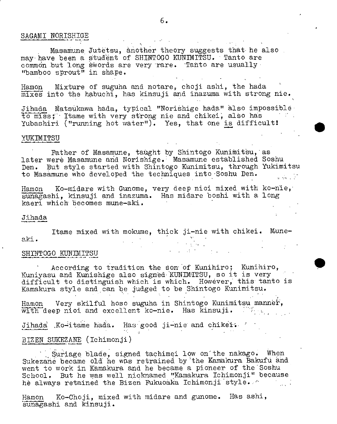## SAGAMI NORISHIGE

Masamune Jutetsu, another theory suggests that he also may have been a student of SHINTOGO KUNIMITSU. Tanto are common but long swords are very rare. Tanto are usually "bamboo sprout" in shape.

Hamon Mixture of suguha and notare, choji ashi, the hada  $\overline{\mathtt{mixes}}$  into the habuchi, has kinsuji and inazuma with strong nie.

Jihada Matsukawa hada, typical "Norishige hada" also impossible fo mils; Itame with very strong nie and chikei, alëo has Yubashiri ("running hot water"). Yes, that one is difficult!

#### **VIMIE\*SSIIJ**

Father of Masamune, taught by Shintogo Kunimitsu, as later were Masamune and Norishige. Masamune established Soshu Den. But style started with Shintogo Kunimitsu, through Yukimitsu to Masamune who developed the techniques into Soshu Den. e vel 1

Hamon Ko-midare with Gunome, very deep nioi mixed with ko-nie, sunagashi, kinsuji and inazuma. Has midare boshi with a long kaeri which becomes mune-aki.

#### Jihada

Itame mixed with mokume, thick ji-nie with chikei. Muneaki. .

## SH1TNTOGO KUNIMITSU .

According to tradition the eon of Kunihiro; Kunihiro, Kuniyasu and Kunishige also signed KUNIMITSU, so it is very difficult to distinguish which is which. However, this tanto is Kamakura style and can be judged to be Shintogo Kunimitsu.

Hamon Very skilful hoso suguha in Shintogo Kunimitsu mannér, with deep nioi and excellent ko-nie. Has kinsuji.  $\mathbb{M}_{\geq 0}$ 

Jihada Ko-itame hada. Has good ji-nie and chikei.

## BIZEN SUKEZANE (Ichimonji)

Suriage blade, signed tachimei low on the nakago. When Sukezane became old he was retrained by the Kamakura Bakufu and went to work in Kamakura and he became a pioneer of the Soshu School. But he was well nicimamed "Kamakura Ichimonji" because he always retained the Bizen Fukuoaka Ichimonji style.

Hamon Ko-Choji, mixed with midare and gunome. Has ashi, sunagashi and kinsuji.

 $\label{eq:2} \mathcal{L}_{\text{max}} = \mathcal{L}_{\text{max}} + \mathcal{L}_{\text{max}} + \mathcal{L}_{\text{max}}$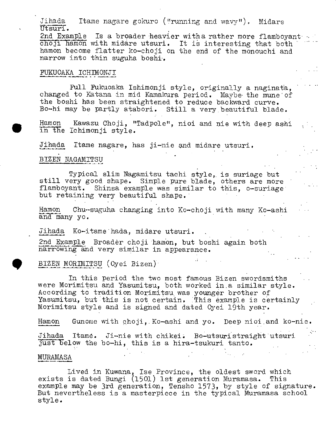Jihada Itame nagare gokuro ("running and wavy"). Midare Utsuri.

2nd Example Is a broader heavier with a rather more flamboyant choji hamon with midare utsuri. It is interesting that both hamon become flatter ko-choji on the end of the monouchi and narrow into thin suguha boshi'.

# FUXUOAKA ICHThIONJI

Full Fukuoaka Ishimonji style, originally a naginatà, changed to Katana in mid Kamakura period. Maybe the mune of the boshi has been straightened to reduce backward curve.<br>
Bo-hi may be partly atabori. Still a very beautiful blade.<br>
Hamon Kawazu Choji, "Tadpole", nioi and nie with deep ashi<br>
in the Ichimonji style. IBo-hi may be partly atabori. Still a very.beautiful blade.

Hamon Kawazu Choji, "Tadpole", nioi and nie with deep ashi in the Ichimonji style.

Jihada Itame nagare, has ji-nie and midare utsuri.

## BIZEN NAGAMITSU

Typical slim Nagamitsu tachi style, is suriage but still very good shape. Simple pure blade, others are more flamboyant. Shinsa example was similar to this, o-suriage but retaining very beautiful shape.

Hamon Chu--suguha changing into Ko-choji with many Ko-ashi and many yo.

Jihada Ko-itame hada, midare utsuri.

2nd Example Broader choji hamon, but boshi again both narrowing and very similar in appearance.

BIZEN MORThIITSU (Oyei Bizen) .

In this period the two most famous Bizen swordsmiths were Morimitsu and Yasumitsu, both worked in.a similar style. According to tradition Morimitsu was younger brother of Yasumitsu, but this is not certain. This example is certainly Morimitsu style and is signed and dated Oyei 19th year.

Hamon Gunome with choji, Ko-ashi and yo. Deep nioi and ko-nie.

Jihada Itame. Ji-nie with chikei. Bo-utsuristraight utsuri just below the bo-hi, this is a hira-tsukuri tanto.

## MURAMASA

Lived in Kuwana, Ise Province, the oldest sword which exists is dated Bungi (1501) 1st generation Muramasa. This example may be 3rd generation, Tensho 1573, by style of signature. But nevertheless is a masterpiece in the typical Muramasa school style.

**All Control**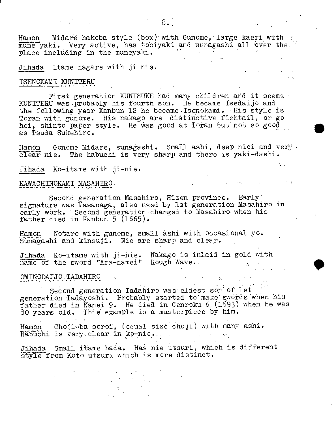Hamon Midare hakoba style (box) with Gunome, large kaeri with mune yaki. Very active, has tobiyaki and sunagashi all over the

Jihada Itame nagare with ji nie.

 $\mathcal{L}^{\mathcal{L}}$  and  $\mathcal{L}^{\mathcal{L}}$  are the set of the set of the set of  $\mathcal{L}^{\mathcal{L}}$ 

place including in the muneyaki.

## ISENOKAMI KUNITERU

First generation KIJNIStJXE had many children and it seems KUNITERU was probably his fourth son. He became Isedaijo and the following year Kanbun 12 he became Isenokami. His style is Toran with gunome. His nakago are dietinctive fishtail, or go hei, shinto paper style. He was good at Toran but not so good as Tsuda Sukehiro,

.

 $\mathcal{L}^{\mathcal{A}}$  ,  $\mathcal{L}^{\mathcal{A}}$  ,  $\mathcal{L}^{\mathcal{A}}$  ,  $\mathcal{L}^{\mathcal{A}}$  ,  $\mathcal{L}^{\mathcal{A}}$ 

 $\mathcal{L}_{\mathcal{A}}$  is a contract of the set of the set of the set of the  $\mathcal{A}$ 

Hamon Gonome Midare, sunagashi, Small ashi, deep nioi and very clear nie. The habuchi is very sharp and there is yaki-dashi.

Jihada Ko-itame with ji-nie.

# KAWACHINOKAMI MASAHIRO

Second generation Masahiro, Hizen province. Early signature was Masanaga, also used by 1st generation Masahiro in early work. Second generation changed to Masahiro when his father died in Kanbun 5 (1665).

Hamon Notare with gunome, small àshi with occasional yo. Sunagashi and kinsuji. Nie are sharp and clear.

Jihada Ko-itame with ji-ñie. Nakago is inlaid in gold with name of the sword "Ara-namei" Rough Wave.

## OMINODALTO. TADAHIRO

Second generation Tadahiro was eldest son of 1st generation Tadayoshi. Probably atarted to make swords 'when his father died in Kanei 9. He died in Genroku 6. (1693) when he was 80 years old. This example is a masterpiece by him.

Hamon Choji-ba soroi, (equal size choji) with many ashi. Habuchi is very, clear., in ko-nie... ..

Jihada Small i'tame hada. Has nie utsuri, which is different style from Koto utsuri which is more distinct.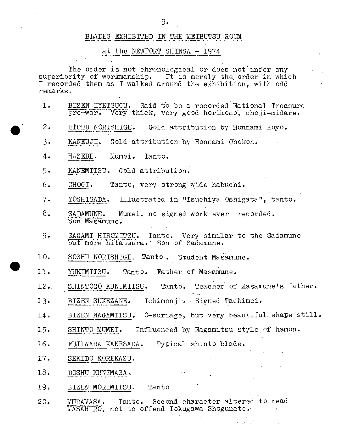# BLADES EXHIBITED IN THE MEIBUTSU ROOM

# at the NEWPORT SHINSA - 1974

The order is not chronological or does not infer any superiority of workmanship. It is merely the order in which I recorded them as I walked around the exhibition, with odd remarks.

- 1. BIZENIYETSUGU. Said to be a recorded National Treasure pre-war. Very thick, very good horimono, choji-midare.
- 2. ETCWJNORISHIGE. Gold attribution by Honnami Koyo.
- 3. KANEUJI. Gold attribution by Honnami Chokon.
- 4. HASEBE. Mumei. Tanto.
- 5. KANEMITSU. Gold attribution.
- 6. CHOGI. Tanto, very strong wide habuchi.
- 7. YOSHISADA. fllustrated in "Tsuchiya Oshigata", tanto.
- 8. SADAMUNE. Mumei, no signed work ever recorded. Son Masamune.
- 9. SAGMUEHIROMITSU. Tanto. Very similar to the Sadamune but more hitatsura. Son of Sadamune.
- 10. SOSHU NORISHIGE. Tanto. Student Masamune.
- 11. YUKIMITSU. Tant.o. Father of Masamune.
- 12. SHINTOGO KUNIMITSU. Tanto. Teacher of Masamune's father.
- 13. BIZEN SUKEZANE. Ichimonji. Signed Tachimei.
- 14. BIZEN NAGAMITSU. O-suriage, but very beautiful shape still.
- 15. SHINTO MUMEI. Influenced by Nagamitsu style of hamon.
- 16. FUJIWARA KANESADA. Typical shinto blade.
- 17. SEKIDO KOREKAZU.
- 18. DOSHU KUNIMASA.
- 19. BIZEN MORIMITSU. Tanto
- 20. MURAMASA. Tanto. Second character altered to read MASAHIRO, not to offend Tokugawa Shogunate.

 $\mathcal{A}(\mathcal{A})$  and  $\mathcal{A}(\mathcal{A})$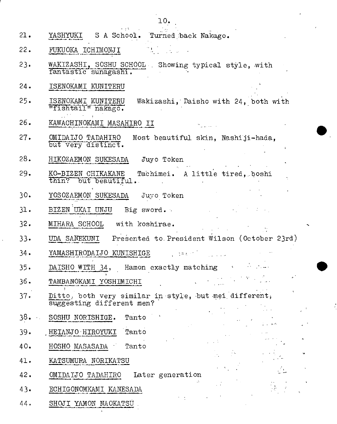- $\alpha \rightarrow \infty$ 21. YASHYOKI S A School. Turned back Nakago.
- 22. FUKUOKA ICHIMONJI
- 23. WAKIZASHI, SOSHU SCHOOL Showing typical style, with fantastic sunagashi.

10.

- 24. ISENOKAMI KUNITERU
- 25. ISENOKAMI KUNITERU Wakizashi, Daisho with 24, both with "fishtaiT" nakago.
- KAWACHINOKAMI MASAHIRO II 26.
- OMIDAIJO TADAHIRO Most beautiful skin, Nashiji-hada, but very distinct. 27.
- HIKOZAEMON SUKESADA Juyo Token 28.
- KO-BIZEN CHIKAKANE Tachimei. A little tired, boshi thin? but beautiful. 29.
- YOSOZAEMON SUKESADA Juyo Token 30.
- BIZEN UKAI UNJU Big sword. 31.
- MIHARA SCHOOL with koshirae. 32.
- UDA SANEKUNI Presented to President Wilson (October 23rd) 33.

 $\mathcal{L}_{\mathcal{A}}$  values of the state  $\mathcal{L}_{\mathcal{A}}$  , and  $\mathcal{L}_{\mathcal{A}}$  , and  $\mathcal{L}_{\mathcal{A}}$ 

 $\sigma_{\rm{max}}$ 

- YAMASHIRODAIJO\_KUNISHIGE : 34.
- DAISHO WITH 34, Hamon exactly matching  $\cdots$ 35.
- TAMBANOKAMI YOSHIMICHI 36.
- Ditto, both very similar in style, but mei different, suggesting different men? 37,
- SOSHU NORISHIGE. Tanto 38.
- HEIANJO HIROYUKI Tanto 39,
- HOSHO MASASADA Tanto 40.
- KATSUMURA NORIKATSU 41.
- OMIDAIJO TADAHIRO Later generation 42.
- ECHIGONOMKAMI KANESADA 43.
- SHOJI YAMON NAOKATSU 44.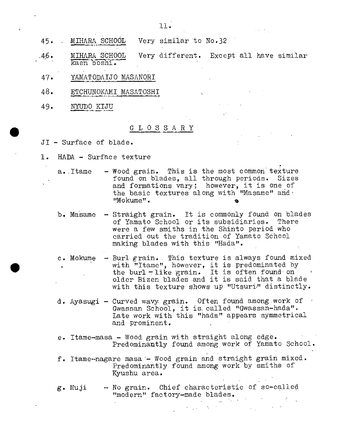- MIHARA SCHOOL Very similar to No.32 45.
- MIRARA SCHOOL MIHARA SCHOOL<br>kaen boshi. Very different. Except all have similar .46.
- YAMATODAIJO MASANORI 47.
- ETCHUNOKAMI MASATOSHI 48.
- NYUDO KIJU 49.

# GLOSSARY

- JI Surface of blade.
- 1. HADA Surface texture

 $a.$  Itame  $-$  Wood grain. This is the most common texture found on blades, all through periods. Sizes and formations vary; however, it is one of the basic textures along with "Masame" and' "Mokume". **lb** 

- b. Masamo Straight grain. It is commonly found on blades of Yamato School or its subsidiaries. There were a few smiths in the Shinto period who carried out the tradition of Yamato School making blades with this "Hada".
- c. Mokume Burl grain. . This texture is always found mixed with "Itame", however, it is predominated by the burl-like grain. It is often found on older Bizen bladesand it is said that a blade with this texture shows up "Utsuri" distinctly.
- d. Ayasugi Curved wavy grain. Often found among work of  $\cdot$ Gwassan School, it is called "Gwassan-hada". Late work with this "hada" appears symmetrical and prominent.
- e. Itame-masa Wood grain with straight along edge. Predominantly found among work of Yamato School.
- f. Itame-nagare masa Wood grain and straight grain mixed. Predominantly found among work by smiths of Kyushu area.
- g. Muji No grain. Chief characteristic of so-called "modern" factory-made blades.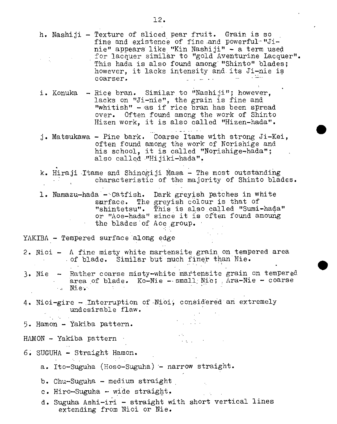fine and existence of fine and powerful-"Jinie" appears like "Kin Nashiji" - a term used for lacquer similar to "gold Aventurine Lacquer". This hada is also found among "Shinto" blades; however, it lacks intensity and its Ji-nie is coarser. coarser. i. Konuka - Rice bran. Similar to "Nashiji"; however, lacks on "Ji-nie", the grain is fine and "whitish" - as if rice bran has been spread Over. Often found among the work of Shinto Hizen work, it is also called "Hizen-hada". j. Matsukawa - Fine bark. Coarse Itame with strong Ji-Kei, often found among the work of Norishige and his school, it is called "Norishige-hada"; also called "Hi jiki-hada". k. Hiraji Itame and Shinogiji Masa - The most outstanding characteristic of the majority of Shinto blades. 1. Namazu-hada - Catfish. Dark greyish patches in white sarface. The greyish colour is that of "shintetsu". This is also called "Sumi-hada" or "Aoe-hada" since it is often found amoung the blades of Ace group. YAKIBA - Tempered surface along edge 2. Nioi - A fine misty white martensite grain on tempered area of blade. Similar but much finer than Nie. 3. Nie - Rather coarse misty-white martensite grain on tempered area of blade. Ko-Nie --small; Nië; Ara-Nie - coarse  $\blacksquare$ . Ni $\circ$ . 4. Nioi-gire - Interruption of Nioi, considered an extremely undesirable flaw.  $5.$  Hamon - Yakiba pattern. HAMON - Yakiba pattern -.  $6.$  SUGUHA - Straight Hamon. a. Ito-Suguha (Hoso-Suguha) - narrow straight. b. Chu-Suguha - medium straight c. Hiro-Suguha - wide straight. d. Suguha Ashi-iri - straight with short vertical lines extending from Nioi or Nie.

h. Nashiji - Texture of sliced pear fruit. Grain is so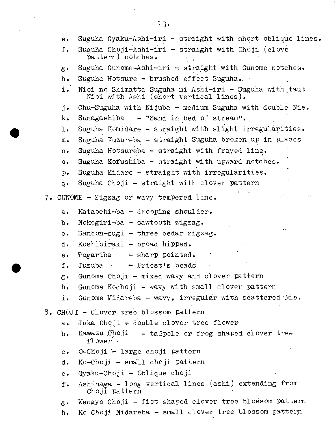|                                           | $e \cdot$                              | Suguha Gyaku-Ashi-iri - straight with short oblique lines.                                       |  |  |  |  |
|-------------------------------------------|----------------------------------------|--------------------------------------------------------------------------------------------------|--|--|--|--|
|                                           | f.                                     | Suguha Choji-Ashi-iri - straight with Choji (clove<br>pattern) notches.                          |  |  |  |  |
|                                           | $g \cdot$                              | Suguha Gunome-Ashi-iri - straight with Gunome notches.                                           |  |  |  |  |
|                                           | $h_{\bullet}$                          | Suguha Hotsure - brushed effect Suguha.                                                          |  |  |  |  |
|                                           | i.                                     | Nioi no Shimatta Suguha ni Ashi-iri - Suguha with taut<br>Nioi with Ashi (short vertical lines). |  |  |  |  |
|                                           | j.                                     | Chu-Suguha with Nijuba - medium Suguha with double Nie.                                          |  |  |  |  |
|                                           | k.                                     | Sunagashiba - "Sand in bed of stream".                                                           |  |  |  |  |
|                                           | ı.                                     | Suguha Komidare - straight with slight irregularities.                                           |  |  |  |  |
|                                           | ${\bf m}$ .                            | Suguha Kuzureba - straight Suguha broken up in places                                            |  |  |  |  |
|                                           | $n_{\bullet}$                          | Suguha Hotsureba - straight with frayed line.                                                    |  |  |  |  |
|                                           | $\circ$ .                              | Suguha Kofushiba - straight with upward notches.                                                 |  |  |  |  |
|                                           | $p_{\bullet}$                          | Suguha Midare - straight with irregularities.                                                    |  |  |  |  |
|                                           | $q \cdot$                              | Suguha Choji - straight with clover pattern                                                      |  |  |  |  |
| 7. GUNOME - Zigzag or wavy tempered line. |                                        |                                                                                                  |  |  |  |  |
|                                           | $a \cdot$                              | Kataochi-ba - drooping shoulder.                                                                 |  |  |  |  |
|                                           | $b \bullet$                            | Nokogiri-ba - sawtooth zigzag.                                                                   |  |  |  |  |
|                                           | $c \cdot$                              | Sanbon-sugi - three cedar zigzag.                                                                |  |  |  |  |
|                                           | d.                                     | Koshibiraki - broad hipped.                                                                      |  |  |  |  |
|                                           | $e \cdot$                              | Togariba<br>- sharp pointed.                                                                     |  |  |  |  |
|                                           | f.                                     | Juzuba $\cdot$ + Priest's beads                                                                  |  |  |  |  |
|                                           | $g_{\bullet}$                          | Gunome Choji - mixed wavy and clover pattern                                                     |  |  |  |  |
|                                           | h.                                     | Gunome Kochoji - wavy with small clover pattern                                                  |  |  |  |  |
|                                           | i.                                     | Gunome Midareba - wavy, irregular with scattered Nie.                                            |  |  |  |  |
|                                           | 8. CHOJI - Clover tree blossom pattern |                                                                                                  |  |  |  |  |
|                                           | $a_{\bullet}$                          | Juka Choji - double clover tree flower                                                           |  |  |  |  |
|                                           | $b \cdot$                              | Kawazu Choji - tadpole or frog shaped clover tree<br>flower.                                     |  |  |  |  |
|                                           | $c_{\bullet}$                          | 0-Choji - large choji pattern                                                                    |  |  |  |  |
|                                           | d.                                     | Ko-Choji - small choji pattern                                                                   |  |  |  |  |
|                                           | $e \cdot$                              | Gyaku-Choji - Oblique choji                                                                      |  |  |  |  |
|                                           | $f$ .                                  | Ashinaga - long vertical lines (ashi) extending from<br>Choji pattern                            |  |  |  |  |
|                                           | $g_{\bullet}$                          | Kengyo Choji - fist shaped clover tree blossom pattern                                           |  |  |  |  |
|                                           | $h_{\bullet}$                          | Ko Choji Midareba - small clover tree blossom pattern                                            |  |  |  |  |
|                                           |                                        |                                                                                                  |  |  |  |  |

13.

 $\langle \cdot, \cdot \rangle$ 

 $\ddot{\phantom{0}}$ 

 $\hat{\mathcal{A}}$ 

 $\cdot$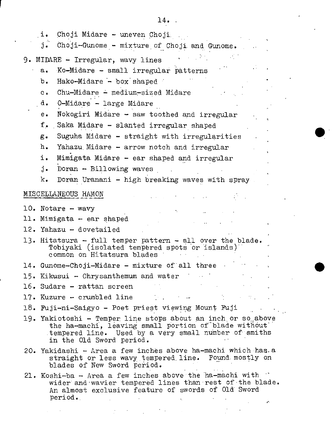| Choji Midare - uneven Choji<br>i.                                                                                                                                                                        |
|----------------------------------------------------------------------------------------------------------------------------------------------------------------------------------------------------------|
| Choji-Gunome - mixture of Choji and Gunome.<br>j.                                                                                                                                                        |
| 9. MIDARE - Irregular, wavy lines                                                                                                                                                                        |
| Ko-Midare - small irregular patterns<br>$a_{\bullet}$                                                                                                                                                    |
| b.<br>Hako-Midare - box shaped                                                                                                                                                                           |
| $Chu-Midare$ - medium-sized Midare<br>$\mathbf{c}$ .                                                                                                                                                     |
| 0-Midare - large Midare<br>d.                                                                                                                                                                            |
| Nokogiri Midare - saw toothed and irregular<br>$e_{\bullet}$                                                                                                                                             |
| f.<br>Saka Midare - slanted irregular shaped                                                                                                                                                             |
| Suguha Midare - straight with irregularities<br>$g_{\bullet}$                                                                                                                                            |
| $h_{\bullet}$<br>Yahazu Midare - arrow notch and irregular                                                                                                                                               |
| i.<br>Mimigata Midare - ear shaped and irregular                                                                                                                                                         |
| Doran - Billowing waves<br>j.                                                                                                                                                                            |
| Doran Uranani - high breaking waves with spray<br>k.                                                                                                                                                     |
| MISCELLANEOUS HAMON                                                                                                                                                                                      |
|                                                                                                                                                                                                          |
| 10. Notare $-$ wavy                                                                                                                                                                                      |
| 11. Mimigata - ear shaped                                                                                                                                                                                |
| 12. Yahazu - dovetailed                                                                                                                                                                                  |
| 13. Hitatsura - full temper pattern - all over the blade.<br>Tobiyaki (isolated tempered spots or islands)<br>common on Hitatsura blades                                                                 |
| 14. Gunome-Choji-Midare - mixture of all three                                                                                                                                                           |
| 15. Kikusui - Chrysanthemum and water                                                                                                                                                                    |
| 16. Sudare – rattan screen                                                                                                                                                                               |
| 17. Kuzure – crumbled line                                                                                                                                                                               |
| 18. Fuji-ni-Saigyo – Poet priest viewing Mount Fuji                                                                                                                                                      |
| 19. Yakiotoshi - Temper line stops about an inch or so above<br>the ha-machi, leaving small portion of blade without<br>tempered line. Used by a very small number of smiths<br>in the Old Sword period. |
| 20. Yakidashi - Area a few inches above ha-machi which has.a<br>straight or less wavy tempered line. Found mostly on<br>blades of New Sword period.                                                      |
| 21. Koshi-ba - Area a few inches above the ha-machi with<br>wider and wavier tempered lines than rest of the blade.<br>An almost exclusive feature of swords of Old Sword                                |

 $\mathcal{L}^{\text{max}}_{\text{max}}$ 

 $\label{eq:2.1} \mathcal{L}_{\mathcal{A}}(\mathcal{A})=\mathcal{L}_{\mathcal{A}}(\mathcal{A})\mathcal{A}(\mathcal{A})=\mathcal{L}_{\mathcal{A}}(\mathcal{A})\mathcal{A}(\mathcal{A}).$ 

period.. . . .

 $\Delta\phi=0.1$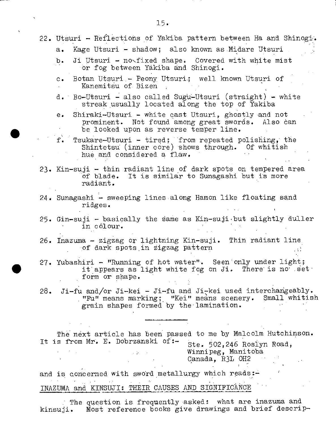- 22. Utsuri Reflections of Yakiba pattern between Ha and Shinogi. a. Kage Utsuri - shadow; also known as Midare Utsuri b. Ji Utsuri - no<fixed shape. Covered with white mist or fog between Yakiba and Shinogi. c. Botan Utsuri.- Peony. Utsuri.; well known Utsuri of Kanemitsu of Bizen d. Bo-Utsuri - also called Sugu-Utsuri (straight) - white streak usually located along the top of Yakiba e. Shiraki-Utsuri - white cast Utsuri, ghostly and not
	- prominent. Not found among great swords. Also can be looked upon as reverse temper line.
	- f. Tsukare-Utsuri tired; from repeated polishing, the Shintetsu (inner core) shows through. Of whitish hue and considered a flaw.
	- 23. Kin-suji thin radiant line of dark spots on tempered area of blade. It is similar to Sunagashi but is more radiant.
	- 24. Sunagashi sweeping lines along Hamon like floating sand  $\mathbf{r}$ idges.
	- 25. Gin-suji basically the same as Kin-suji but slightly duller in cólour.
- 26. Inazuma zigzag or lightning Kin-suji. Thin radiant line. of dark spots in zigzag pattern
- 27. Yubashiri "Running of hot water". Seen only under light; it appears as light white fog on Ji. There is no set form or shape.
- 28. Ji-fu and/or Ji-kei Ji-fu and Jiç-kei used interchangeably. "FU" means marking; "Kei" means scenery. Small whitish grain shapes formed by the-lamination.

The next article has been passed to me by Malcolm Hutchinson. It is from Mr. E. Dobrzanski of:- Ste. 502,246 Roslyn Road, Winnipeg, Manitoba Canada, R3L OH2

and is concerned with sword metallurgy which reads:-INAZUMA and KINSUJI: THEIR CAUSES AND SIGNIFICANCE

: The question is frequently asked: what are inazuma and kinsuji. Most reference books give drawings and brief descrip-

15.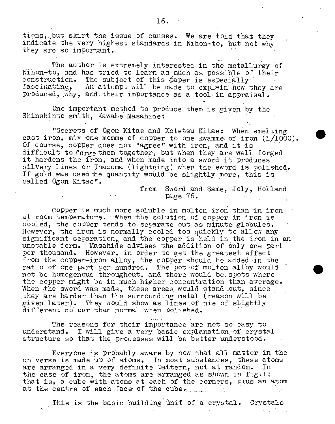tions, but skirt the issue of causes. We are told that they, indicate the very highest standards in Nihon-to, but not why they are so important.

The author is extremely interested in the metallurgy of Nihon-to, and has tried to learn as much as possible of their construction. The subject of this paper is especially<br>fascinating. An attempt will be made to explain how th An attempt will be made to explain how they are produced, why, and their importance as a tool in appraisal.

One important method to produce them is given by the Shinshinto smith, Kawabe Masahide:

"Secrets of Ogon Kitae and Kotetsu Kitae: When smelting cast iron, mix one momme of copper to one kwamme of iron  $(1/1000)$ . Of course, copper does not 'agree" with iron, and it is difficult to forge them together, but when they are well forged it hardens the iron, and when made into a sword it produces silvery lines or Inazuma (lightning) when the sword is polished. If gold.was used the quantity would be slightly more, this is called Ogon Kitae".

> from Sword and Same, Joly, Holland  $page 76.$

.

Copper is much more soluble in molten iron than in iron at room temperature. When the solution of copper in iron is cooled, the copper tends to separate out as minute globuleS. However, the iron is normally cooled too quickly to allow any significant separation, and the copper is held in the iron in an unstable form. Masahide advises the addition of only one part per thousand. However, in order to get the greatest effect from the copper-iron alloy, the copper should be added in the ratio of one part per hundred. The pot of molten alloy would not be homogenous throughout, and there would be. spots where the copper might be in much higher concentration than average. When the sword was made, these areas would stand out, since they are harder than the surrounding metal (reason will be given later). They would show as lines of nie of slightly different colour than normal when polished.

The reasons for their importance are not so easy to understand. I will give a very basic explanation of crystal structure so that the processes will be better understood.

Everyone is probably aware by now that all matter in the universe is made up of atoms. In most substances, these atoms are arranged in a very definite pattern, not at random. In the case of iron, the atoms are arranged as shown in fig.1; that is, a cube with atoms at each of the corners, plus an atom at the centre of each face of the cube.

This is the basic building unit of a crystal. Crystals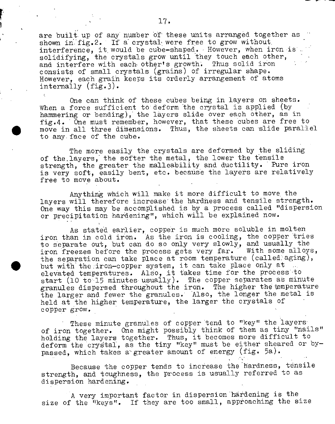are built up of any number of these units arranged together as shown in  $fig.2$ . If a crystal were free to grow without.  $interference,$  it would be cube-shaped. However, when iron is. solidifying, the crystals grow until they touch each other, and interfere with each other's growth. Thus solid iron consists of small crystals (grains) of irregular shape. However, each grain keeps its orderly arrangement of atoms internally (fig.3).

One can think of these cubes being in layers on sheets. When a force sufficient to deform the crystal is applied (by hammering or bending), the layers slide over each other, as in fig.4. One must remember, however, that these cubes are free to move in all three dimensions. Thus, the sheets can 'slide parallel to any face of the cube.

The more easily the crystals are deformed by the sliding of the layers, the softer the metal, the lower the tensile strength, the greater the malleability and ductility. Pure iron is very soft, easily bent, etc. because the layers are relatively free to move about.

Anything which will make it more difficult to move, the layers will therefore increase the hardness and tensile strength. One way this may be accomplished is by a process called "dispersion or precipitation hardening", which will be explained now.

As stated earlier, copper is much more soluble in molten iron than in cold iron. As the iron is cooling, the copper tries to separate out, but can do so only very slowly, and usually the iron freezes before the process gets very far. With some alloys, the separation can take place at room temperature (called aging), but with the iron-copper system, it can take place only at elevated temperatures. Also, it takes time for the process to start (10 to 15 minutes usually). The copper separates as minute granules dispersed throughout the iron. The higher the emperature the larger and fewer the granules.' Also, the longer the metal is held at the higher temperature, the larger the crystals of copper grow.

These minute granules of copper tend to "key" the layers of iron together. One might possibly think of them as tiny "nails" holding the layers together. Thus, it becomes more difficult to deform the crystal, as the tiny "key" must be either sheared or bypassed, which takes a"greater amount of energy (fig. 5a).

Because the copper tends to increase the hardness, tensile strength, and toughness, the process is usually referred to as dispersion hardening.

A very important factor in dispersion hardening is the size of the "keys". If they are too small, approaching the size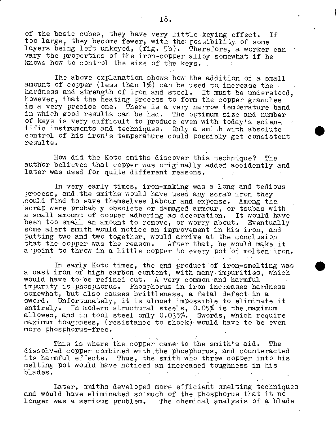of the basic cubes, they have very little keying effect. If too large, they become fewer, with the: possibility, of some layers being left unkeyed, (fig. 5b). Therefore, a worker can vary the properties of the iron-copper alloy somewhat if he knows how to control the size of the keys.

The above explanation shows how the addition of a small amount of copper (less than  $1\%$ ) can be used to increase the hardness and strength of iron and steel. It must be understood, however, that the heating process to form the copper granules is a very precise one. There is a very narrow temperature hand in which good results can be had. The optimum size and number of keys is very difficult to produce even with today's scientific instruments and techniques. Only a smith with absolute control of his iron's temperature could possibly get consistent results.

How did the Koto smiths discover this technique? The author believes that copper was originally added accidently and later was used for quite different reasons.

In very early times, iron-making was a long and tedious process, and the smiths would have used any scrap iron they •could find to save themselves labour and expense. Among the, 'scrap were probably obsolete or damaged armour, or tsubas with a small amount of copper adhering as decoration. It would have been too small an amount to remove, or worry about. Eventually some alert smith would notice an improvement in his iron, and putting two and two together, would arrive at the conclusion that the copper was the reason. After that, he would make it a point to throw in a little copper to every pot of molten iron.

In early Koto times, the end product of iron-smelting was a cast iron of high carbon content, with many impurities, which would have to be refined out. A very common and harmful impurity is phosphorus; Phosphorus in iron increases hardness somewhat, but also causes brittleness, a fatal defect in a sword. Unfortunately, it is almost impossible to eliminate it entirely. In modern structural steels, 0.05% is the maximum allowed, and in tool steel only 0.035%. Swords, which require maximum toughness, (resistance to shock) would have to be even more phosphorus-free.

This is where the copper came to the smith's aid. The dissolved copper combined with the phosphorus, and counteracted its harmful effects. Thus, the smith who threw copper into his melting pot would have noticed an increased toughness in his blades. '

Later, smiths developed more efficient smelting techniques and would have eliminated so much of the phosphorus that it no longer was a serious problem. The chemical analysis of a blade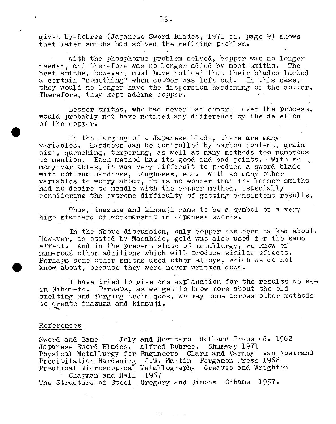given by-Dobree (Japanese Sword Blades, 1971 ed. page 9) shows that later smiths had solved the refining problem.

With the phosphorus problem solved, copper was no longer neededi and therefore was no longer added by most smiths. The best smiths, however, must have noticed that their blades lacked a certain "something" when copper was left out. In this case, they would no longer have the dispersion hardening of the copper. Therefore, they kept adding copper.

Lesser smiths, who had never had control over the process, would probably not have noticed any difference by the deletion . of the copper.

In the forging of a Japanese blade, there are many variables. Hardness can be controlled by carbon content, grain size, quenching, tempering, as well as many methods too numerous to mention. Each method has its good and bad points. With so many variables, it was very difficult to produce a sword blade with optimum hardness, toughness, etc. With so many other variables to worry about, it is no wonder that the lesser smiths had no desire to meddle with the copper method, especially considering the extreme difficulty of getting consistent results.

Thus, inazuma and kinsuji came to be a symbol of a very high standard of workmanship in Japanese swords.

In the above discussion, only copper has been talked about. However, as stated by Masahide, gold was also used for the same effect. And in the present state of metallurgy, we know of numerous other additions which will produce similar effects. Perhaps some other smiths used other alloys, which we do not know about, because they were never written down.

I have tried to give one explanation for the results we see in Nihon-to. Perhaps, as we get to know more about the old smelting and forging techniques, we may come across other methods to create inazuma and kinsuji.

#### References

Sword and Same Joly and Hogitaro Holland Press ed. 1962 Japanese Sword Blades. Alfred Dobree. Shumway 1971 Physical Metallurgy for Engineers Clark and Varney Van Nostrand Precipitation Hardening Practical Microscopical Chapman and Hall The Strubture of Steel Gregory and Simons Odhams 1957. J.W. Martin Pergamon Press 1968 Metallography Greaves and Wrighton 1967

**Contractor** 

 $\sim 100$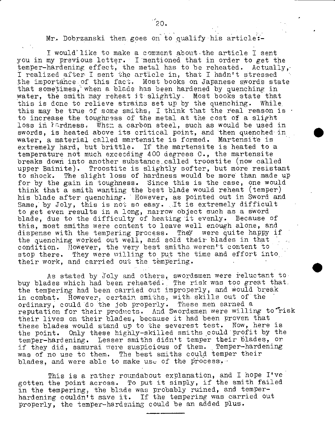Mr. Dobrzanski then goes on to qualify his article:-

I would' like to make a comment about-the article I sent you in my previous letter. I mentioned that in order to get the temper-hardening effect, the metal has to be reheated. Actually, I realized after I sent the article in, that I hadn't stressed the importance of this fact. Most books on Japanese swords state that sometimes, when a blade has been hardened by quenching in water, the smith may reheat it slightly. Most books state that this is done to relieve strains set up by the quenching. While. this may be true of some smiths, I think that the real reason is  $\cdot$ to increase the toughness of the metal at the cost of a slight loss in lardness. When a carbon steel, such as would be used in swords, is heated above its critical point, and then quenched- in water, a material called martensite is formed. Martensite is extremely hard, but brittle. If the martensite is heated to a temperature not much exceeding 400 degrees C., the martensite breaks down into another substance called troostite (now called upper Bainite). Troostite is slightly softer, but more resistant to shock. The slight loss of hardness would be more than made up for by the gain in toughness. Since this is the case, one would think that a smith wanting the best blade would reheat (temper) his blade after quenching. However, as pointed out in Sword and Same, by Joly, this is not so easy. It is extremely difficult to get even results in a long, narrow object such as a sword blade, due to the difficulty of heating it evenly. Because of this, most smiths were content to leave well enough alone, and dispense with the tempering process. They were quite happy if the quenching worked out well, and sold their blades in that condition. However, the very best smiths weren't content to stop there. They were willing to put the time and effort into,. their work, and carried out the tempering.

As stated by Joly and others, swordsmen were reluctant to buy blades which had been reheated. The risk was too great that.. the tempering had been carried out improperly, and would break in combat. However, certain smiths, with skills out of the ordinary, could do the job properly. These men earned a reputation for their products. And Swordsmen were willing to risk their lives on their blades, because it had been proven that these blades would stand up to the severest test. Now, here is the point. Only these highly-skilled smiths could profit by the temper-hardening. Lesser smiths didn't temper their blades, or if they did, samurai were suspicious of them. Temper-hardening was of no use to them. The best smiths could temper their blades, and were able to make use of the process,  $\cdot$ 

This is a rather roundabout explanation, and I hope I've gotten the point across. To put it simply, if the smith failed in the tempering, the blade was probably ruined, and temperhardening couldn't save it. If the tempering was carried out properly, the temper-hardening could be an added plus.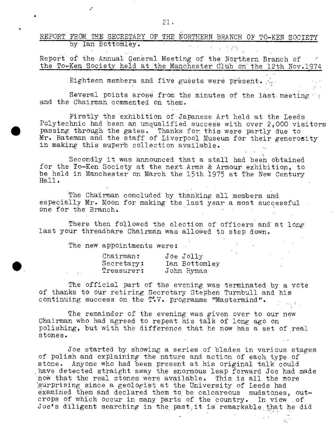REPORT FROM THE SECRETARY OF THE NORTHERN BRANCH OF TO-KEN SOCIETY by Ian Bottomley.

Report of the Annual General Meeting of the Northern Branch of the To-Ken Society held at the Manchester Club on the 12th Noy.1974

Eighteen members and five guests were present.

Several points arose from the minutes of the last meeting and the Chairman commented on them.

Firstly the exhibition of Japanese Art held at the Leeds Polytechnic had been an unqualified success with over 2,000 visitors passing through the gates. Thanks for this were partly due to Mr. Bateman and the staff of Liverpool Museum for their generosity in making this superb collection ayailable.

Secondly it was announced that a stall had been obtained for the To-Ken Society at the next.Arms & Armour exhibition, to be held in Manchester on March the 15th 1975 at The New Century Hall.

The Chairman concluded by thanking all members and especially Mr. Moon for making the last year a most successful one for the Branch.

There then followed the election of officers and at long last your threadbare Chairman was allowed to step down.

The new appointments were:

|  | $chain$ :  | Joe Jolly     |
|--|------------|---------------|
|  | Secretary: | Ian Bottomley |
|  | Treasurer: | John Hymas    |

The official part of the evening was terminated by a vote of thanks to our retiring Secretary Stephen Turnbull and his continuing success on the T.V. programme "Mastermind".

The remainder of the evening was given over to our new Chairman who had agreed to repeat his talk of long ago on polishing, but with the difference that he now has a set of real stones.

Joe started by showing a series of blades in various stages of polish and explaining the nature and action of each, type of stone. Anyone who had been present at his original talk could have detected straight away the enormous leap forward Joe had made how that the real stones were available. This is all the more surprising since a geologist at the University of Leeds had examined them and declared them to be calcareous mudstones, outcrops of which occur in many parts of the country. In view of Joe's diligent searching in the past.it is remarkable,that he did

/

¼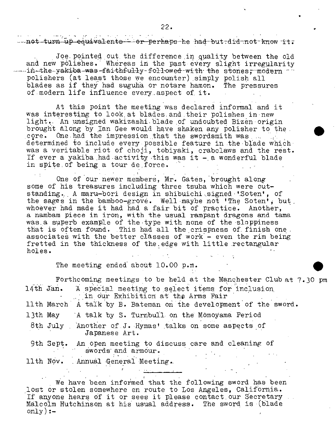22.

hat turn up equivalents - or perhaps he had but did not know it.

Joe. pointed out the difference in quality between the old and new polishes. Whereas in the past every slight irregularity in-the-yakiba-was-faithfully-followed-with the stones, modern polishers (at least those we encounter) simply polish all blades as if they had suguha or notare hamon. The pressures of.modern life influence every..aspect of. it.

At this point the meeting was declared informal and it was interesting to look at blades and their polishes in new light. An unsigned wakizashi blade of undoubted Bizen origin brought along by Ian Gee would have shaken any polisher to the . core. One had the impression that the swordsmith was ... determined to include every possible feature in the blade which was a veritable riot of choji, tobiyaki, crabclaws and the rest. If ever a yakiba had activity this was it  $-$  a wonderful blade in spite of being a tour de force.

One of our newer members, Mr. Gates, brought along some of his treasures including three tsuba which were outstanding. A maru-bori design in shibuichi.signed 'Soten', of the sages in the bamboo-grove. Well maybe not 'The Soten', but. whoever had made it had had a fair bit of practice. Another, a nambam piece in iron, with the usual rampant dragons and tama was.a superb example of the type with none of the sloppiness that is often found. This had all the crispness of finish one. associates with the better classes of work - even the rim being fretted in the thickness of the, edge with little rectangular holes.

The meeting ended about 10.00 p.m.

Forthcoming meetings to be held at the Manchester Club at 7.30 pm 14th Jan. A special meeting to select items for inclusion in our Exhibition at the Arms Fair 11th March A talk by B. Bateman on the development of the sword. 13th May A talk by S. Turnbull on the Momoyama Period 8th July . Another of J. Hymas' talks on some aspects of Japanese Art. 9th Sept. An open meeting to discuss care and cleaning of swords and armour. 11th Nov. Annual General Meeting..

We have been informed that the following sword has been lost or stolen somewhere en route to Los Angeles, California. If anyone hears of it or sees it please contact.our Secretary Malcolm Hutchinson at his usual address. The sword is (blade only):-